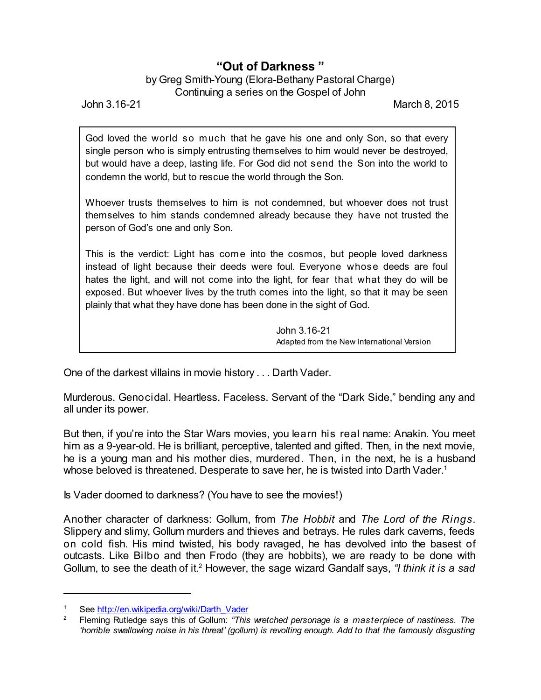## **"Out of Darkness "**

## by Greg Smith-Young (Elora-Bethany Pastoral Charge) Continuing a series on the Gospel of John

John 3.16-21 March 8, 2015

God loved the world so much that he gave his one and only Son, so that every single person who is simply entrusting themselves to him would never be destroyed, but would have a deep, lasting life. For God did not send the Son into the world to condemn the world, but to rescue the world through the Son.

Whoever trusts themselves to him is not condemned, but whoever does not trust themselves to him stands condemned already because they have not trusted the person of God's one and only Son.

This is the verdict: Light has come into the cosmos, but people loved darkness instead of light because their deeds were foul. Everyone whose deeds are foul hates the light, and will not come into the light, for fear that what they do will be exposed. But whoever lives by the truth comes into the light, so that it may be seen plainly that what they have done has been done in the sight of God.

> John 3.16-21 Adapted from the New International Version

One of the darkest villains in movie history . . . Darth Vader.

Murderous. Genocidal. Heartless. Faceless. Servant of the "Dark Side," bending any and all under its power.

But then, if you're into the Star Wars movies, you learn his real name: Anakin. You meet him as a 9-year-old. He is brilliant, perceptive, talented and gifted. Then, in the next movie, he is a young man and his mother dies, murdered. Then, in the next, he is a husband whose beloved is threatened. Desperate to save her, he is twisted into Darth Vader. 1

Is Vader doomed to darkness? (You have to see the movies!)

Another character of darkness: Gollum, from *The Hobbit* and *The Lord of the Rings*. Slippery and slimy, Gollum murders and thieves and betrays. He rules dark caverns, feeds on cold fish. His mind twisted, his body ravaged, he has devolved into the basest of outcasts. Like Bilbo and then Frodo (they are hobbits), we are ready to be done with Gollum, to see the death of it. <sup>2</sup> However, the sage wizard Gandalf says, *"I think it is a sad*

See [http://en.wikipedia.org/wiki/Darth\\_Vader](http://en.wikipedia.org/wiki/Darth_Vader)

<sup>2</sup> Fleming Rutledge says this of Gollum: *"This wretched personage is a masterpiece of nastiness. The 'horrible swallowing noise in his threat' (gollum) is revolting enough. Add to that the famously disgusting*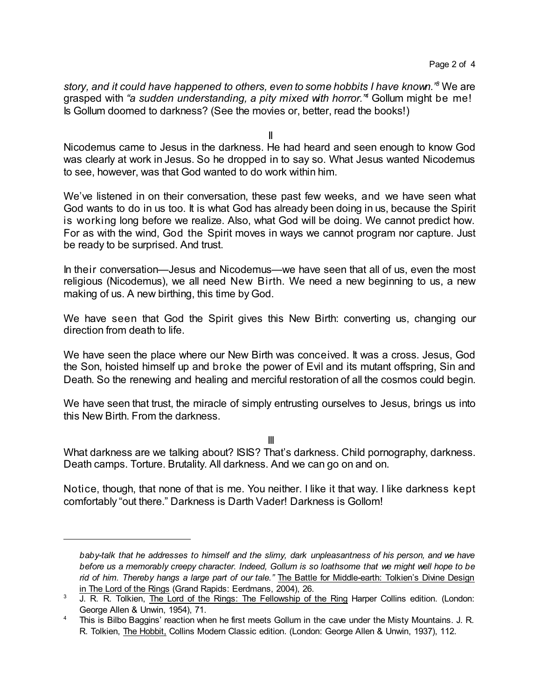*story, and it could have happened to others, even to some hobbits I have known." <sup>3</sup>* We are grasped with *"a sudden understanding, a pity mixed with horror." <sup>4</sup>* Gollum might be me! Is Gollum doomed to darkness? (See the movies or, better, read the books!)

II

Nicodemus came to Jesus in the darkness. He had heard and seen enough to know God was clearly at work in Jesus. So he dropped in to say so. What Jesus wanted Nicodemus to see, however, was that God wanted to do work within him.

We've listened in on their conversation, these past few weeks, and we have seen what God wants to do in us too. It is what God has already been doing in us, because the Spirit is working long before we realize. Also, what God will be doing. We cannot predict how. For as with the wind, God the Spirit moves in ways we cannot program nor capture. Just be ready to be surprised. And trust.

In their conversation—Jesus and Nicodemus—we have seen that all of us, even the most religious (Nicodemus), we all need New Birth. We need a new beginning to us, a new making of us. A new birthing, this time by God.

We have seen that God the Spirit gives this New Birth: converting us, changing our direction from death to life.

We have seen the place where our New Birth was conceived. It was a cross. Jesus, God the Son, hoisted himself up and broke the power of Evil and its mutant offspring, Sin and Death. So the renewing and healing and merciful restoration of all the cosmos could begin.

We have seen that trust, the miracle of simply entrusting ourselves to Jesus, brings us into this New Birth. From the darkness.

III

What darkness are we talking about? ISIS? That's darkness. Child pornography, darkness. Death camps. Torture. Brutality. All darkness. And we can go on and on.

Notice, though, that none of that is me. You neither. I like it that way. I like darkness kept comfortably "out there." Darkness is Darth Vader! Darkness is Gollom!

*baby-talk that he addresses to himself and the slimy, dark unpleasantness of his person, and we have before us a memorably creepy character. Indeed, Gollum is so loathsome that we might well hope to be rid of him. Thereby hangs a large part of our tale."* The Battle for Middle-earth: Tolkien's Divine Design in The Lord of the Rings (Grand Rapids: Eerdmans, 2004), 26.

<sup>&</sup>lt;sup>3</sup> J. R. R. Tolkien, The Lord of the Rings: The Fellowship of the Ring Harper Collins edition. (London: George Allen & Unwin, 1954), 71.

<sup>&</sup>lt;sup>4</sup> This is Bilbo Baggins' reaction when he first meets Gollum in the cave under the Misty Mountains. J. R. R. Tolkien, The Hobbit, Collins Modern Classic edition. (London: George Allen & Unwin, 1937), 112.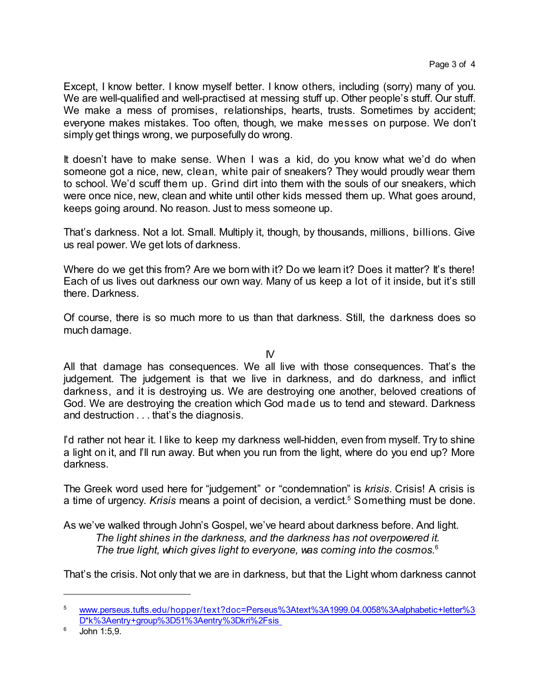Except, I know better. I know myself better. I know others, including (sorry) many of you. We are well-qualified and well-practised at messing stuff up. Other people's stuff. Our stuff. We make a mess of promises, relationships, hearts, trusts. Sometimes by accident; everyone makes mistakes. Too often, though, we make messes on purpose. We don't simply get things wrong, we purposefully do wrong.

It doesn't have to make sense. When I was a kid, do you know what we'd do when someone got a nice, new, clean, white pair of sneakers? They would proudly wear them to school. We'd scuff them up. Grind dirt into them with the souls of our sneakers, which were once nice, new, clean and white until other kids messed them up. What goes around, keeps going around. No reason. Just to mess someone up.

That's darkness. Not a lot. Small. Multiply it, though, by thousands, millions, billions. Give us real power. We get lots of darkness.

Where do we get this from? Are we born with it? Do we learn it? Does it matter? It's there! Each of us lives out darkness our own way. Many of us keep a lot of it inside, but it's still there. Darkness.

Of course, there is so much more to us than that darkness. Still, the darkness does so much damage.

 $N$ 

All that damage has consequences. We all live with those consequences. That's the judgement. The judgement is that we live in darkness, and do darkness, and inflict darkness, and it is destroying us. We are destroying one another, beloved creations of God. We are destroying the creation which God made us to tend and steward. Darkness and destruction . . . that's the diagnosis.

I'd rather not hear it. I like to keep my darkness well-hidden, even from myself. Try to shine a light on it, and I'll run away. But when you run from the light, where do you end up? More darkness.

The Greek word used here for "judgement" or "condemnation" is *krisis*. Crisis! A crisis is a time of urgency. *Krisis* means a point of decision, a verdict. <sup>5</sup> Something must be done.

As we've walked through John's Gospel, we've heard about darkness before. And light. *The light shines in the darkness, and the darkness has not overpowered it. The true light, which gives light to everyone, was coming into the cosmos.*<sup>6</sup>

That's the crisis. Not only that we are in darkness, but that the Light whom darkness cannot

<sup>5</sup> [www.perseus.tufts.edu/hopper/text?doc=Perseus%3Atext%3A1999.04.0058%3Aalphabetic+letter%3](http://www.perseus.tufts.edu/hopper/text?doc=Perseus%3Atext%3A1999.04.0058%3Aalphabetic+letter%3D*k%3Aentry+group%3D51%3Aentry%3Dkri%2Fsis%20) [D\\*k%3Aentry+group%3D51%3Aentry%3Dkri%2Fsis](http://www.perseus.tufts.edu/hopper/text?doc=Perseus%3Atext%3A1999.04.0058%3Aalphabetic+letter%3D*k%3Aentry+group%3D51%3Aentry%3Dkri%2Fsis%20)

 $6$  John 1:5,9.